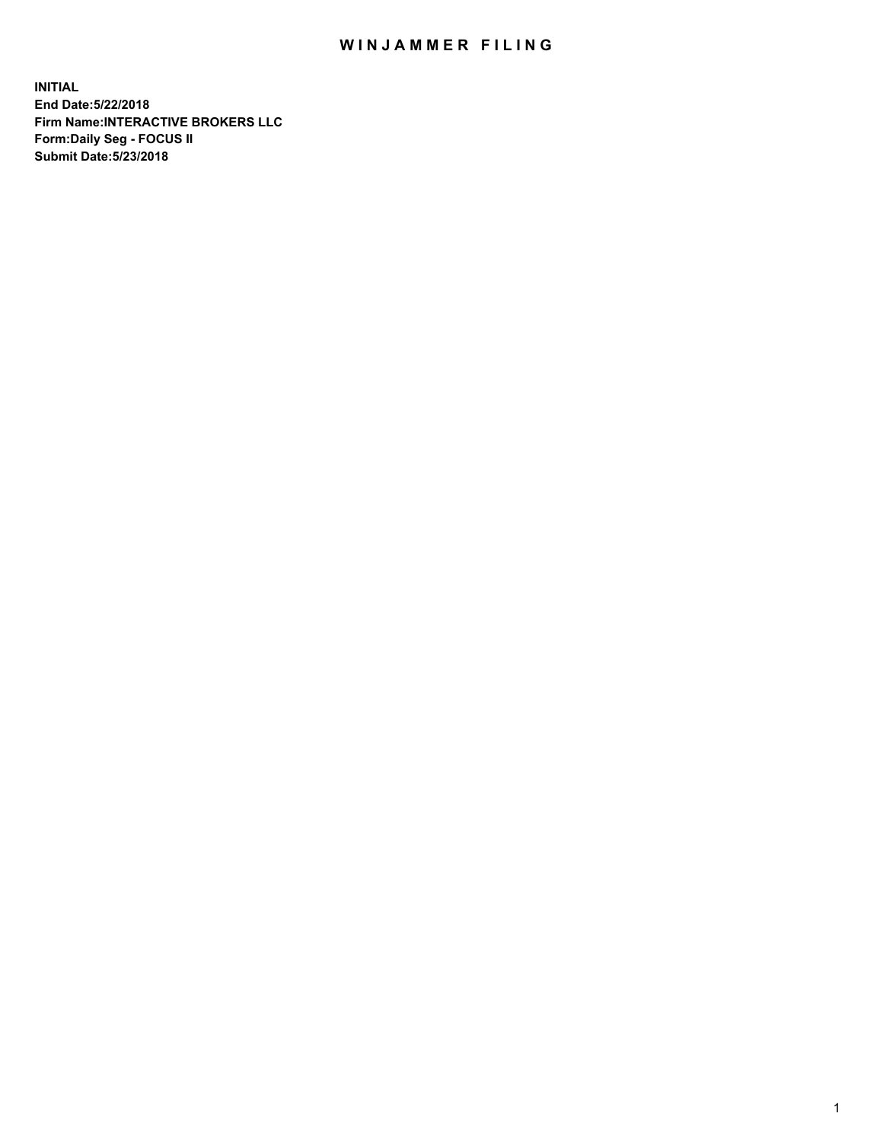## WIN JAMMER FILING

**INITIAL End Date:5/22/2018 Firm Name:INTERACTIVE BROKERS LLC Form:Daily Seg - FOCUS II Submit Date:5/23/2018**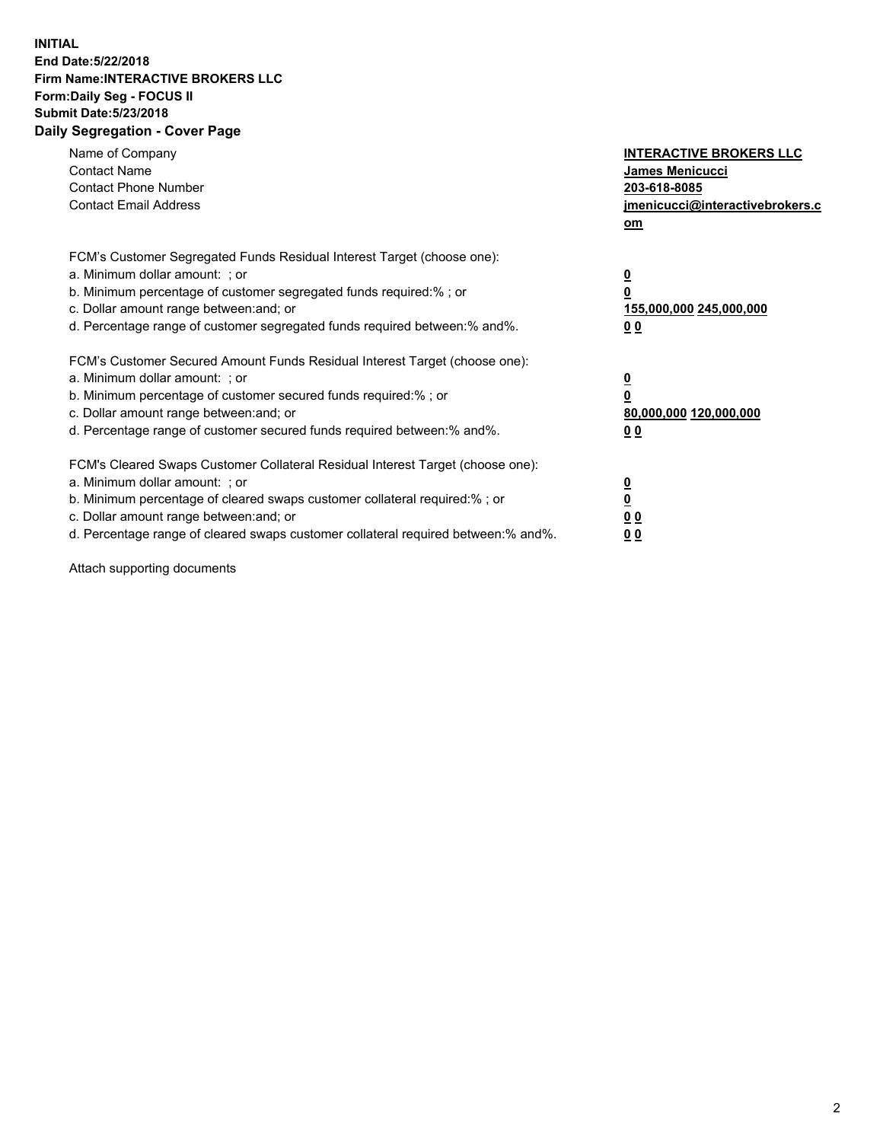## **INITIAL End Date:5/22/2018 Firm Name:INTERACTIVE BROKERS LLC Form:Daily Seg - FOCUS II Submit Date:5/23/2018 Daily Segregation - Cover Page**

| Name of Company<br><b>Contact Name</b><br><b>Contact Phone Number</b><br><b>Contact Email Address</b>                                                                                                                                                                                                                          | <b>INTERACTIVE BROKERS LLC</b><br>James Menicucci<br>203-618-8085<br>jmenicucci@interactivebrokers.c<br>om |
|--------------------------------------------------------------------------------------------------------------------------------------------------------------------------------------------------------------------------------------------------------------------------------------------------------------------------------|------------------------------------------------------------------------------------------------------------|
| FCM's Customer Segregated Funds Residual Interest Target (choose one):<br>a. Minimum dollar amount: ; or<br>b. Minimum percentage of customer segregated funds required:%; or<br>c. Dollar amount range between: and; or<br>d. Percentage range of customer segregated funds required between:% and%.                          | $\overline{\mathbf{0}}$<br>0<br>155,000,000 245,000,000<br>0 <sub>0</sub>                                  |
| FCM's Customer Secured Amount Funds Residual Interest Target (choose one):<br>a. Minimum dollar amount: ; or<br>b. Minimum percentage of customer secured funds required:%; or<br>c. Dollar amount range between: and; or<br>d. Percentage range of customer secured funds required between:% and%.                            | $\overline{\mathbf{0}}$<br>$\overline{\mathbf{0}}$<br>80,000,000 120,000,000<br>00                         |
| FCM's Cleared Swaps Customer Collateral Residual Interest Target (choose one):<br>a. Minimum dollar amount: ; or<br>b. Minimum percentage of cleared swaps customer collateral required:% ; or<br>c. Dollar amount range between: and; or<br>d. Percentage range of cleared swaps customer collateral required between:% and%. | $\overline{\mathbf{0}}$<br>$\overline{\mathbf{0}}$<br>0 <sub>0</sub><br><u>00</u>                          |

Attach supporting documents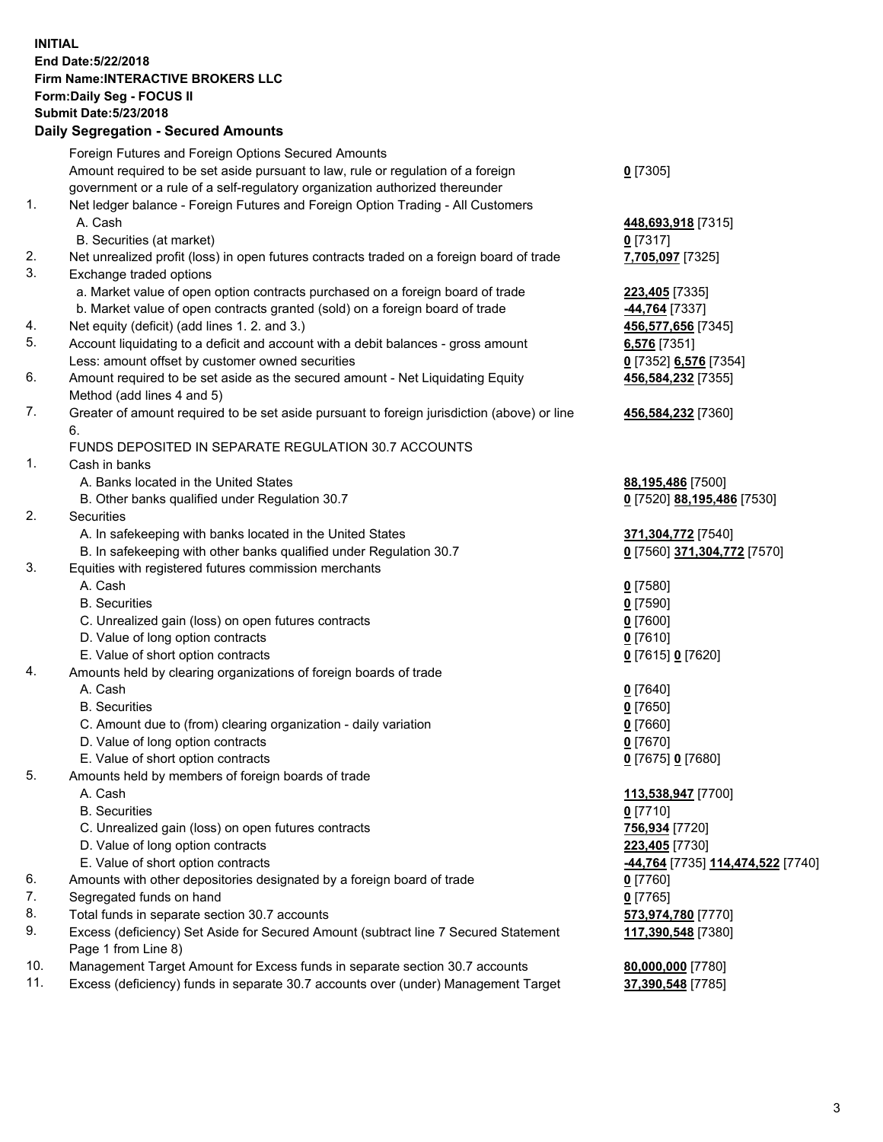## **INITIAL End Date:5/22/2018 Firm Name:INTERACTIVE BROKERS LLC Form:Daily Seg - FOCUS II Submit Date:5/23/2018 Daily Segregation - Secured Amounts**

|                | Daily Segregation - Secured Amounts                                                                        |                                   |
|----------------|------------------------------------------------------------------------------------------------------------|-----------------------------------|
|                | Foreign Futures and Foreign Options Secured Amounts                                                        |                                   |
|                | Amount required to be set aside pursuant to law, rule or regulation of a foreign                           | $0$ [7305]                        |
|                | government or a rule of a self-regulatory organization authorized thereunder                               |                                   |
| $\mathbf{1}$ . | Net ledger balance - Foreign Futures and Foreign Option Trading - All Customers                            |                                   |
|                | A. Cash                                                                                                    | 448,693,918 [7315]                |
|                | B. Securities (at market)                                                                                  | $0$ [7317]                        |
| 2.             | Net unrealized profit (loss) in open futures contracts traded on a foreign board of trade                  | 7,705,097 [7325]                  |
| 3.             | Exchange traded options                                                                                    |                                   |
|                | a. Market value of open option contracts purchased on a foreign board of trade                             | 223,405 [7335]                    |
|                | b. Market value of open contracts granted (sold) on a foreign board of trade                               | -44,764 [7337]                    |
| 4.             | Net equity (deficit) (add lines 1.2. and 3.)                                                               | 456,577,656 [7345]                |
| 5.             | Account liquidating to a deficit and account with a debit balances - gross amount                          | 6,576 [7351]                      |
|                | Less: amount offset by customer owned securities                                                           | 0 [7352] 6,576 [7354]             |
| 6.             | Amount required to be set aside as the secured amount - Net Liquidating Equity                             | 456,584,232 [7355]                |
|                | Method (add lines 4 and 5)                                                                                 |                                   |
| 7.             | Greater of amount required to be set aside pursuant to foreign jurisdiction (above) or line                | 456,584,232 [7360]                |
|                | 6.                                                                                                         |                                   |
|                | FUNDS DEPOSITED IN SEPARATE REGULATION 30.7 ACCOUNTS                                                       |                                   |
| 1.             | Cash in banks                                                                                              |                                   |
|                | A. Banks located in the United States                                                                      | 88,195,486 [7500]                 |
|                | B. Other banks qualified under Regulation 30.7                                                             | 0 [7520] 88,195,486 [7530]        |
| 2.             | Securities                                                                                                 |                                   |
|                | A. In safekeeping with banks located in the United States                                                  | 371,304,772 [7540]                |
|                | B. In safekeeping with other banks qualified under Regulation 30.7                                         | 0 [7560] 371,304,772 [7570]       |
| 3.             | Equities with registered futures commission merchants                                                      |                                   |
|                | A. Cash                                                                                                    | $0$ [7580]                        |
|                | <b>B.</b> Securities                                                                                       | $0$ [7590]                        |
|                | C. Unrealized gain (loss) on open futures contracts                                                        | $0$ [7600]                        |
|                | D. Value of long option contracts                                                                          | $0$ [7610]                        |
|                | E. Value of short option contracts                                                                         | 0 [7615] 0 [7620]                 |
| 4.             | Amounts held by clearing organizations of foreign boards of trade                                          |                                   |
|                | A. Cash                                                                                                    | $0$ [7640]                        |
|                | <b>B.</b> Securities                                                                                       | $0$ [7650]                        |
|                | C. Amount due to (from) clearing organization - daily variation                                            | $0$ [7660]                        |
|                | D. Value of long option contracts                                                                          | $0$ [7670]                        |
|                | E. Value of short option contracts                                                                         | 0 [7675] 0 [7680]                 |
| 5.             | Amounts held by members of foreign boards of trade                                                         |                                   |
|                | A. Cash                                                                                                    | 113,538,947 [7700]                |
|                | <b>B.</b> Securities                                                                                       | $0$ [7710]                        |
|                | C. Unrealized gain (loss) on open futures contracts                                                        | 756,934 [7720]                    |
|                | D. Value of long option contracts                                                                          | 223,405 [7730]                    |
|                | E. Value of short option contracts                                                                         | -44,764 [7735] 114,474,522 [7740] |
| 6.             | Amounts with other depositories designated by a foreign board of trade                                     | $0$ [7760]                        |
| 7.             | Segregated funds on hand                                                                                   | $0$ [7765]                        |
| 8.             | Total funds in separate section 30.7 accounts                                                              | 573,974,780 [7770]                |
| 9.             | Excess (deficiency) Set Aside for Secured Amount (subtract line 7 Secured Statement<br>Page 1 from Line 8) | 117,390,548 [7380]                |
| 10.            | Management Target Amount for Excess funds in separate section 30.7 accounts                                | 80,000,000 [7780]                 |
| 11.            | Excess (deficiency) funds in separate 30.7 accounts over (under) Management Target                         | 37,390,548 [7785]                 |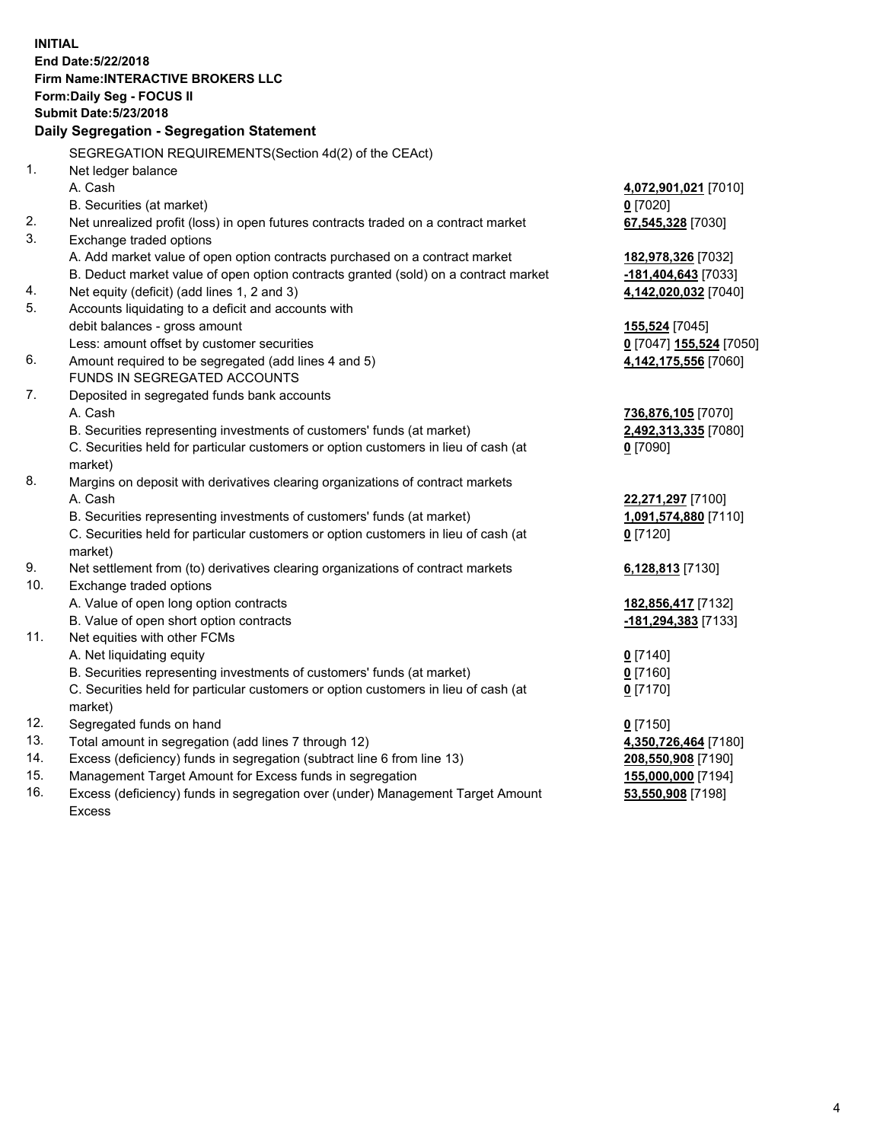**INITIAL End Date:5/22/2018 Firm Name:INTERACTIVE BROKERS LLC Form:Daily Seg - FOCUS II Submit Date:5/23/2018 Daily Segregation - Segregation Statement** SEGREGATION REQUIREMENTS(Section 4d(2) of the CEAct) 1. Net ledger balance A. Cash **4,072,901,021** [7010] B. Securities (at market) **0** [7020] 2. Net unrealized profit (loss) in open futures contracts traded on a contract market **67,545,328** [7030] 3. Exchange traded options A. Add market value of open option contracts purchased on a contract market **182,978,326** [7032] B. Deduct market value of open option contracts granted (sold) on a contract market **-181,404,643** [7033] 4. Net equity (deficit) (add lines 1, 2 and 3) **4,142,020,032** [7040] 5. Accounts liquidating to a deficit and accounts with debit balances - gross amount **155,524** [7045] Less: amount offset by customer securities **0** [7047] **155,524** [7050] 6. Amount required to be segregated (add lines 4 and 5) **4,142,175,556** [7060] FUNDS IN SEGREGATED ACCOUNTS 7. Deposited in segregated funds bank accounts A. Cash **736,876,105** [7070] B. Securities representing investments of customers' funds (at market) **2,492,313,335** [7080] C. Securities held for particular customers or option customers in lieu of cash (at market) **0** [7090] 8. Margins on deposit with derivatives clearing organizations of contract markets A. Cash **22,271,297** [7100] B. Securities representing investments of customers' funds (at market) **1,091,574,880** [7110] C. Securities held for particular customers or option customers in lieu of cash (at market) **0** [7120] 9. Net settlement from (to) derivatives clearing organizations of contract markets **6,128,813** [7130] 10. Exchange traded options A. Value of open long option contracts **182,856,417** [7132] B. Value of open short option contracts **-181,294,383** [7133] 11. Net equities with other FCMs A. Net liquidating equity **0** [7140] B. Securities representing investments of customers' funds (at market) **0** [7160] C. Securities held for particular customers or option customers in lieu of cash (at market) **0** [7170] 12. Segregated funds on hand **0** [7150] 13. Total amount in segregation (add lines 7 through 12) **4,350,726,464** [7180] 14. Excess (deficiency) funds in segregation (subtract line 6 from line 13) **208,550,908** [7190] 15. Management Target Amount for Excess funds in segregation **155,000,000** [7194]

16. Excess (deficiency) funds in segregation over (under) Management Target Amount Excess

**53,550,908** [7198]